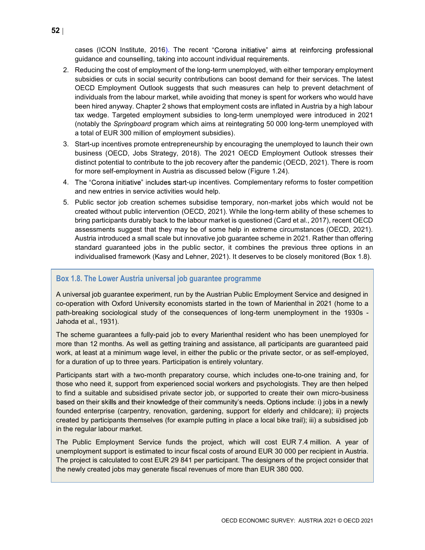cases (ICON Institute, 2016). The recent "Corona initiative" aims at reinforcing professional guidance and counselling, taking into account individual requirements.

- 2. Reducing the cost of employment of the long-term unemployed, with either temporary employment subsidies or cuts in social security contributions can boost demand for their services. The latest OECD Employment Outlook suggests that such measures can help to prevent detachment of individuals from the labour market, while avoiding that money is spent for workers who would have been hired anyway. Chapter 2 shows that employment costs are inflated in Austria by a high labour tax wedge. Targeted employment subsidies to long-term unemployed were introduced in 2021 (notably the Springboard program which aims at reintegrating 50 000 long-term unemployed with a total of EUR 300 million of employment subsidies).
- 3. Start-up incentives promote entrepreneurship by encouraging the unemployed to launch their own business (OECD, Jobs Strategy, 2018). The 2021 OECD Employment Outlook stresses their distinct potential to contribute to the job recovery after the pandemic (OECD, 2021). There is room for more self-employment in Austria as discussed below (Figure 1.24).
- 4. The "Corona initiative" includes start-up incentives. Complementary reforms to foster competition and new entries in service activities would help.
- 5. Public sector job creation schemes subsidise temporary, non-market jobs which would not be created without public intervention (OECD, 2021). While the long-term ability of these schemes to bring participants durably back to the labour market is questioned (Card et al., 2017), recent OECD assessments suggest that they may be of some help in extreme circumstances (OECD, 2021). Austria introduced a small scale but innovative job guarantee scheme in 2021. Rather than offering standard guaranteed jobs in the public sector, it combines the previous three options in an individualised framework (Kasy and Lehner, 2021). It deserves to be closely monitored (Box 1.8).

## Box 1.8. The Lower Austria universal job guarantee programme

A universal job guarantee experiment, run by the Austrian Public Employment Service and designed in co-operation with Oxford University economists started in the town of Marienthal in 2021 (home to a path-breaking sociological study of the consequences of long-term unemployment in the 1930s - Jahoda et al., 1931).

The scheme guarantees a fully-paid job to every Marienthal resident who has been unemployed for more than 12 months. As well as getting training and assistance, all participants are guaranteed paid work, at least at a minimum wage level, in either the public or the private sector, or as self-employed, for a duration of up to three years. Participation is entirely voluntary.

Participants start with a two-month preparatory course, which includes one-to-one training and, for those who need it, support from experienced social workers and psychologists. They are then helped to find a suitable and subsidised private sector job, or supported to create their own micro-business based on their skills and their knowledge of their community's needs. Options include: i) jobs in a newly founded enterprise (carpentry, renovation, gardening, support for elderly and childcare); ii) projects created by participants themselves (for example putting in place a local bike trail); iii) a subsidised job in the regular labour market.

The Public Employment Service funds the project, which will cost EUR 7.4 million. A year of unemployment support is estimated to incur fiscal costs of around EUR 30 000 per recipient in Austria. The project is calculated to cost EUR 29 841 per participant. The designers of the project consider that the newly created jobs may generate fiscal revenues of more than EUR 380